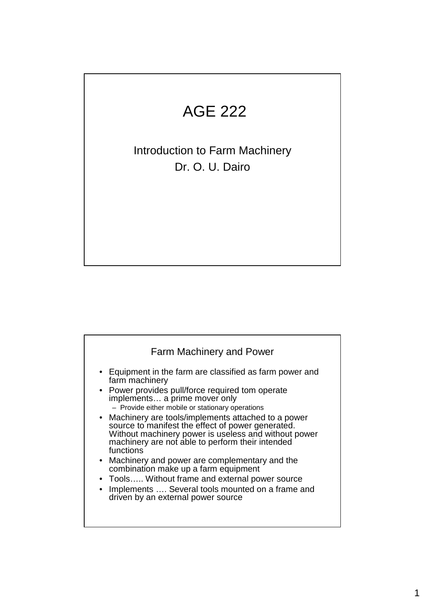## AGE 222

Introduction to Farm Machinery Dr. O. U. Dairo

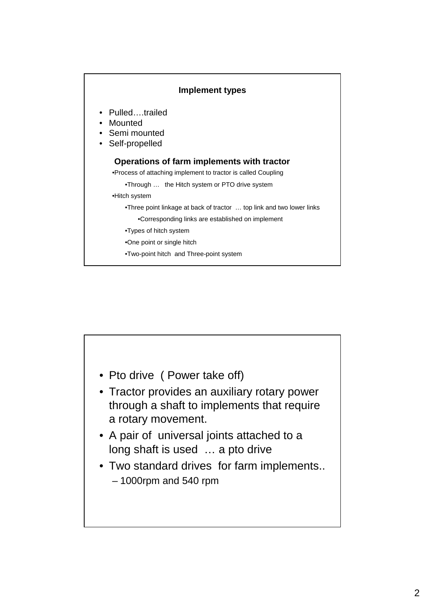

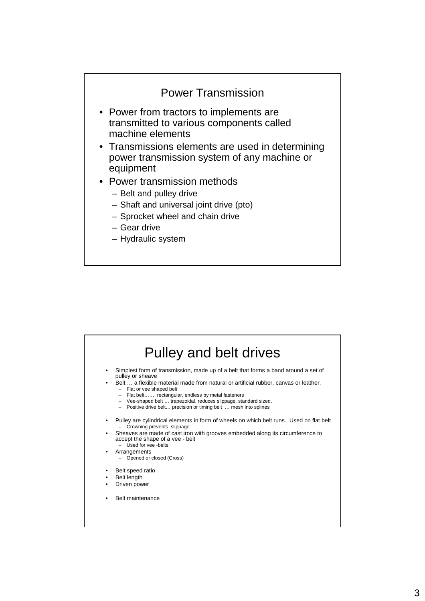

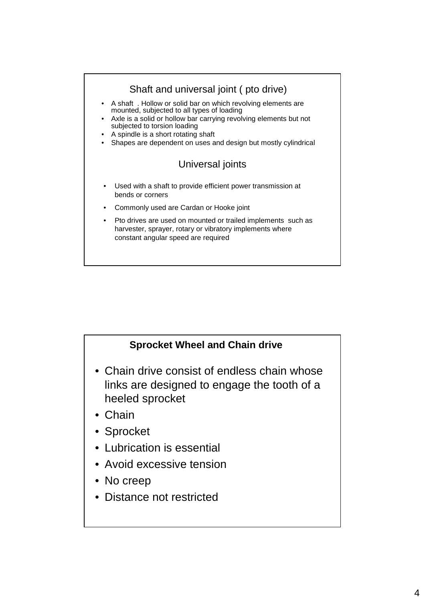



- Chain drive consist of endless chain whose links are designed to engage the tooth of a heeled sprocket
- Chain
- Sprocket
- Lubrication is essential
- Avoid excessive tension
- No creep
- Distance not restricted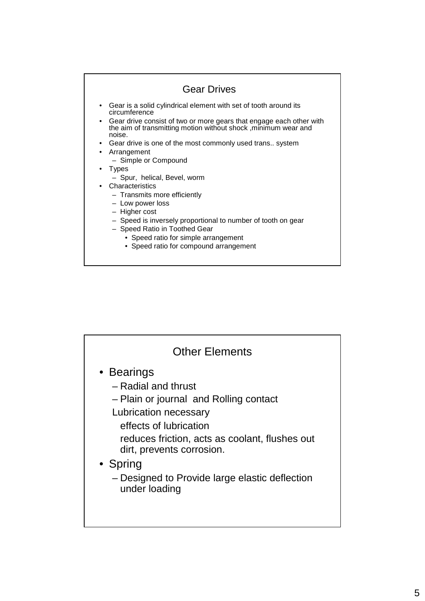

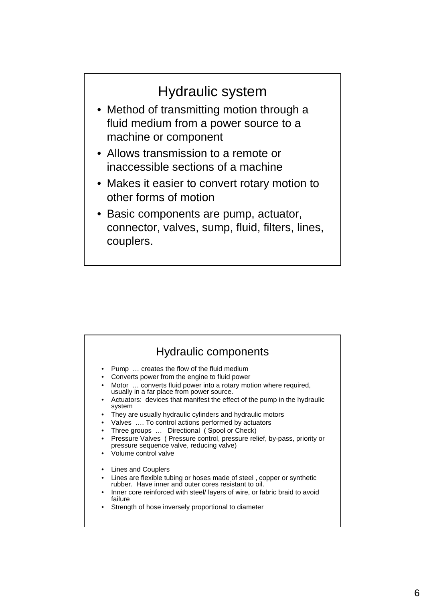## Hydraulic system

- Method of transmitting motion through a fluid medium from a power source to a machine or component
- Allows transmission to a remote or inaccessible sections of a machine
- Makes it easier to convert rotary motion to other forms of motion
- Basic components are pump, actuator, connector, valves, sump, fluid, filters, lines, couplers.